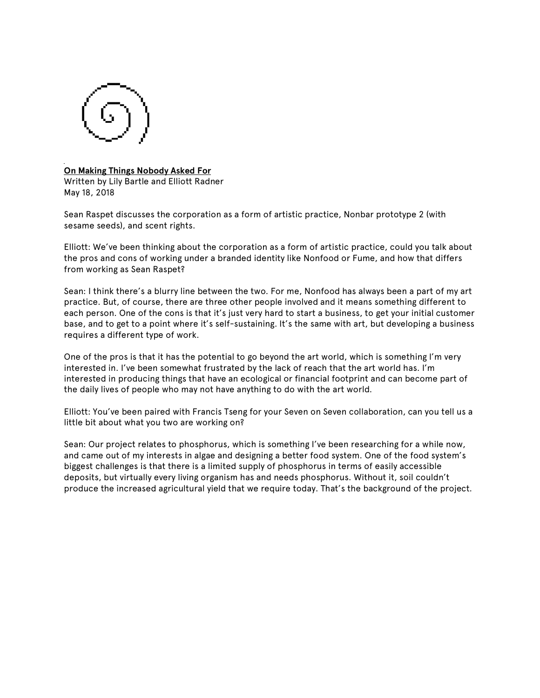

## **On Making Things Nobody Asked For**

Written by Lily Bartle and Elliott Radner May 18, 2018

Sean Raspet discusses the corporation as a form of artistic practice, Nonbar prototype 2 (with sesame seeds), and scent rights.

Elliott: We've been thinking about the corporation as a form of artistic practice, could you talk about the pros and cons of working under a branded identity like Nonfood or Fume, and how that differs from working as Sean Raspet?

Sean: I think there's a blurry line between the two. For me, Nonfood has always been a part of my art practice. But, of course, there are three other people involved and it means something different to each person. One of the cons is that it's just very hard to start a business, to get your initial customer base, and to get to a point where it's self-sustaining. It's the same with art, but developing a business requires a different type of work.

One of the pros is that it has the potential to go beyond the art world, which is something I'm very interested in. I've been somewhat frustrated by the lack of reach that the art world has. I'm interested in producing things that have an ecological or financial footprint and can become part of the daily lives of people who may not have anything to do with the art world.

Elliott: You've been paired with Francis Tseng for your Seven on Seven collaboration, can you tell us a little bit about what you two are working on?

Sean: Our project relates to phosphorus, which is something I've been researching for a while now, and came out of my interests in algae and designing a better food system. One of the food system's biggest challenges is that there is a limited supply of phosphorus in terms of easily accessible deposits, but virtually every living organism has and needs phosphorus. Without it, soil couldn't produce the increased agricultural yield that we require today. That's the background of the project.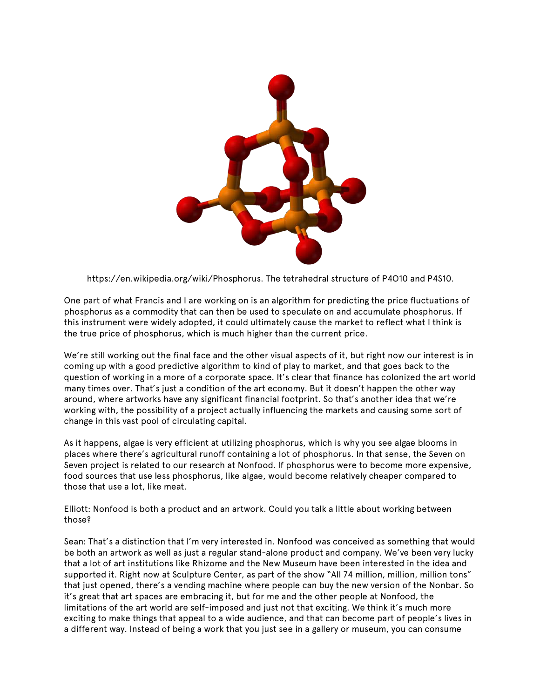

https://en.wikipedia.org/wiki/Phosphorus. The tetrahedral structure of P4O10 and P4S10.

One part of what Francis and I are working on is an algorithm for predicting the price fluctuations of phosphorus as a commodity that can then be used to speculate on and accumulate phosphorus. If this instrument were widely adopted, it could ultimately cause the market to reflect what I think is the true price of phosphorus, which is much higher than the current price.

We're still working out the final face and the other visual aspects of it, but right now our interest is in coming up with a good predictive algorithm to kind of play to market, and that goes back to the question of working in a more of a corporate space. It's clear that finance has colonized the art world many times over. That's just a condition of the art economy. But it doesn't happen the other way around, where artworks have any significant financial footprint. So that's another idea that we're working with, the possibility of a project actually influencing the markets and causing some sort of change in this vast pool of circulating capital.

As it happens, algae is very efficient at utilizing phosphorus, which is why you see algae blooms in places where there's agricultural runoff containing a lot of phosphorus. In that sense, the Seven on Seven project is related to our research at Nonfood. If phosphorus were to become more expensive, food sources that use less phosphorus, like algae, would become relatively cheaper compared to those that use a lot, like meat.

Elliott: Nonfood is both a product and an artwork. Could you talk a little about working between those?

Sean: That's a distinction that I'm very interested in. Nonfood was conceived as something that would be both an artwork as well as just a regular stand-alone product and company. We've been very lucky that a lot of art institutions like Rhizome and the New Museum have been interested in the idea and supported it. Right now at Sculpture Center, as part of the show "All 74 million, million, million tons" that just opened, there's a vending machine where people can buy the new version of the Nonbar. So it's great that art spaces are embracing it, but for me and the other people at Nonfood, the limitations of the art world are self-imposed and just not that exciting. We think it's much more exciting to make things that appeal to a wide audience, and that can become part of people's lives in a different way. Instead of being a work that you just see in a gallery or museum, you can consume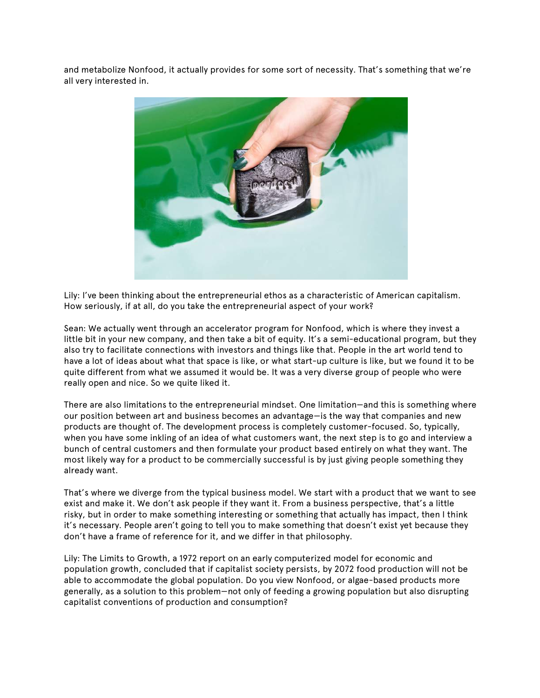and metabolize Nonfood, it actually provides for some sort of necessity. That's something that we're all very interested in.



Lily: I've been thinking about the entrepreneurial ethos as a characteristic of American capitalism. How seriously, if at all, do you take the entrepreneurial aspect of your work?

Sean: We actually went through an accelerator program for Nonfood, which is where they invest a little bit in your new company, and then take a bit of equity. It's a semi-educational program, but they also try to facilitate connections with investors and things like that. People in the art world tend to have a lot of ideas about what that space is like, or what start-up culture is like, but we found it to be quite different from what we assumed it would be. It was a very diverse group of people who were really open and nice. So we quite liked it.

There are also limitations to the entrepreneurial mindset. One limitation—and this is something where our position between art and business becomes an advantage—is the way that companies and new products are thought of. The development process is completely customer-focused. So, typically, when you have some inkling of an idea of what customers want, the next step is to go and interview a bunch of central customers and then formulate your product based entirely on what they want. The most likely way for a product to be commercially successful is by just giving people something they already want.

That's where we diverge from the typical business model. We start with a product that we want to see exist and make it. We don't ask people if they want it. From a business perspective, that's a little risky, but in order to make something interesting or something that actually has impact, then I think it's necessary. People aren't going to tell you to make something that doesn't exist yet because they don't have a frame of reference for it, and we differ in that philosophy.

Lily: The Limits to Growth, a 1972 report on an early computerized model for economic and population growth, concluded that if capitalist society persists, by 2072 food production will not be able to accommodate the global population. Do you view Nonfood, or algae-based products more generally, as a solution to this problem—not only of feeding a growing population but also disrupting capitalist conventions of production and consumption?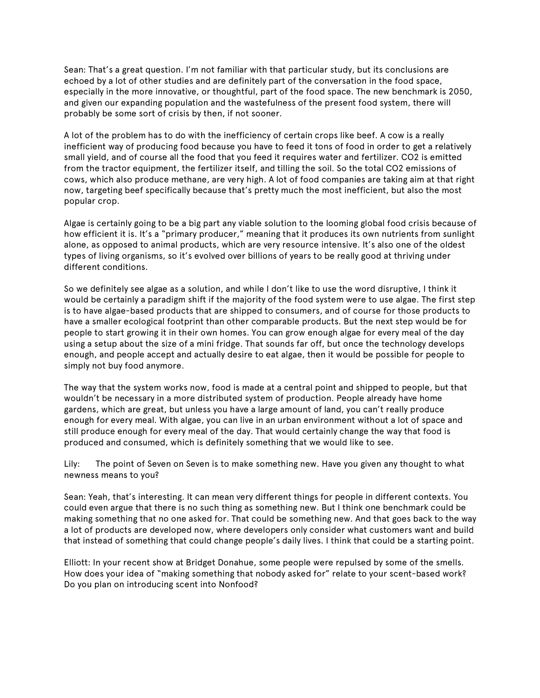Sean: That's a great question. I'm not familiar with that particular study, but its conclusions are echoed by a lot of other studies and are definitely part of the conversation in the food space, especially in the more innovative, or thoughtful, part of the food space. The new benchmark is 2050, and given our expanding population and the wastefulness of the present food system, there will probably be some sort of crisis by then, if not sooner.

A lot of the problem has to do with the inefficiency of certain crops like beef. A cow is a really inefficient way of producing food because you have to feed it tons of food in order to get a relatively small yield, and of course all the food that you feed it requires water and fertilizer. CO2 is emitted from the tractor equipment, the fertilizer itself, and tilling the soil. So the total CO2 emissions of cows, which also produce methane, are very high. A lot of food companies are taking aim at that right now, targeting beef specifically because that's pretty much the most inefficient, but also the most popular crop.

Algae is certainly going to be a big part any viable solution to the looming global food crisis because of how efficient it is. It's a "primary producer," meaning that it produces its own nutrients from sunlight alone, as opposed to animal products, which are very resource intensive. It's also one of the oldest types of living organisms, so it's evolved over billions of years to be really good at thriving under different conditions.

So we definitely see algae as a solution, and while I don't like to use the word disruptive, I think it would be certainly a paradigm shift if the majority of the food system were to use algae. The first step is to have algae-based products that are shipped to consumers, and of course for those products to have a smaller ecological footprint than other comparable products. But the next step would be for people to start growing it in their own homes. You can grow enough algae for every meal of the day using a setup about the size of a mini fridge. That sounds far off, but once the technology develops enough, and people accept and actually desire to eat algae, then it would be possible for people to simply not buy food anymore.

The way that the system works now, food is made at a central point and shipped to people, but that wouldn't be necessary in a more distributed system of production. People already have home gardens, which are great, but unless you have a large amount of land, you can't really produce enough for every meal. With algae, you can live in an urban environment without a lot of space and still produce enough for every meal of the day. That would certainly change the way that food is produced and consumed, which is definitely something that we would like to see.

Lily: The point of Seven on Seven is to make something new. Have you given any thought to what newness means to you?

Sean: Yeah, that's interesting. It can mean very different things for people in different contexts. You could even argue that there is no such thing as something new. But I think one benchmark could be making something that no one asked for. That could be something new. And that goes back to the way a lot of products are developed now, where developers only consider what customers want and build that instead of something that could change people's daily lives. I think that could be a starting point.

Elliott: In your recent show at Bridget Donahue, some people were repulsed by some of the smells. How does your idea of "making something that nobody asked for" relate to your scent-based work? Do you plan on introducing scent into Nonfood?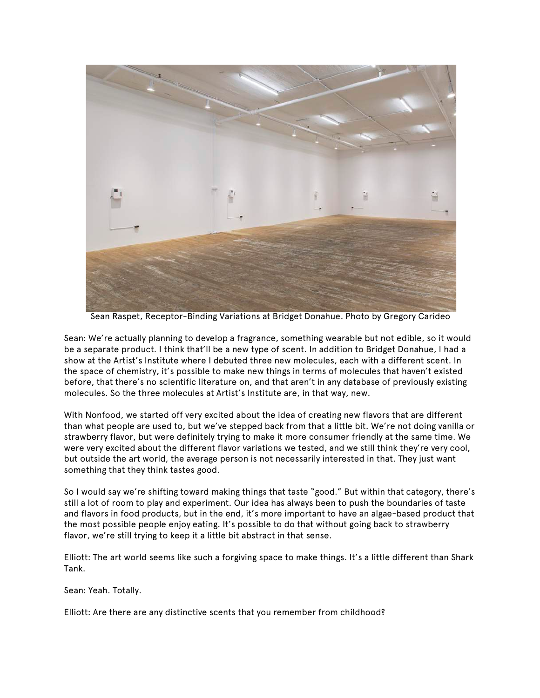

Sean Raspet, Receptor-Binding Variations at Bridget Donahue. Photo by Gregory Carideo

Sean: We're actually planning to develop a fragrance, something wearable but not edible, so it would be a separate product. I think that'll be a new type of scent. In addition to Bridget Donahue, I had a show at the Artist's Institute where I debuted three new molecules, each with a different scent. In the space of chemistry, it's possible to make new things in terms of molecules that haven't existed before, that there's no scientific literature on, and that aren't in any database of previously existing molecules. So the three molecules at Artist's Institute are, in that way, new.

With Nonfood, we started off very excited about the idea of creating new flavors that are different than what people are used to, but we've stepped back from that a little bit. We're not doing vanilla or strawberry flavor, but were definitely trying to make it more consumer friendly at the same time. We were very excited about the different flavor variations we tested, and we still think they're very cool, but outside the art world, the average person is not necessarily interested in that. They just want something that they think tastes good.

So I would say we're shifting toward making things that taste "good." But within that category, there's still a lot of room to play and experiment. Our idea has always been to push the boundaries of taste and flavors in food products, but in the end, it's more important to have an algae-based product that the most possible people enjoy eating. It's possible to do that without going back to strawberry flavor, we're still trying to keep it a little bit abstract in that sense.

Elliott: The art world seems like such a forgiving space to make things. It's a little different than Shark Tank.

Sean: Yeah. Totally.

Elliott: Are there are any distinctive scents that you remember from childhood?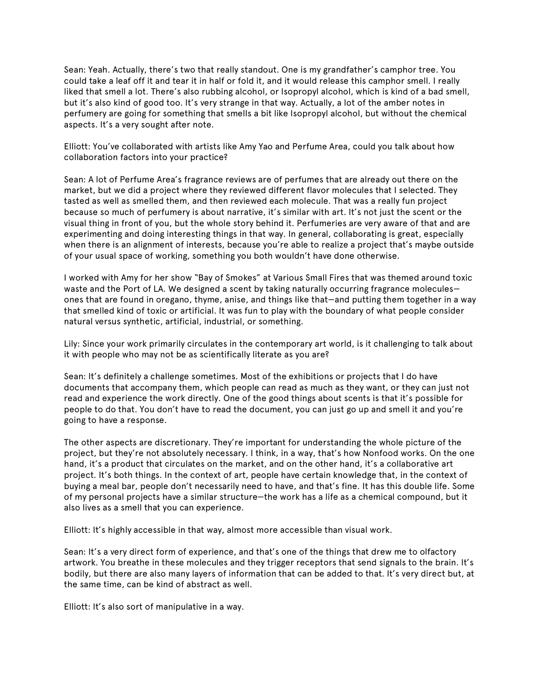Sean: Yeah. Actually, there's two that really standout. One is my grandfather's camphor tree. You could take a leaf off it and tear it in half or fold it, and it would release this camphor smell. I really liked that smell a lot. There's also rubbing alcohol, or Isopropyl alcohol, which is kind of a bad smell, but it's also kind of good too. It's very strange in that way. Actually, a lot of the amber notes in perfumery are going for something that smells a bit like Isopropyl alcohol, but without the chemical aspects. It's a very sought after note.

Elliott: You've collaborated with artists like Amy Yao and Perfume Area, could you talk about how collaboration factors into your practice?

Sean: A lot of Perfume Area's fragrance reviews are of perfumes that are already out there on the market, but we did a project where they reviewed different flavor molecules that I selected. They tasted as well as smelled them, and then reviewed each molecule. That was a really fun project because so much of perfumery is about narrative, it's similar with art. It's not just the scent or the visual thing in front of you, but the whole story behind it. Perfumeries are very aware of that and are experimenting and doing interesting things in that way. In general, collaborating is great, especially when there is an alignment of interests, because you're able to realize a project that's maybe outside of your usual space of working, something you both wouldn't have done otherwise.

I worked with Amy for her show "Bay of Smokes" at Various Small Fires that was themed around toxic waste and the Port of LA. We designed a scent by taking naturally occurring fragrance moleculesones that are found in oregano, thyme, anise, and things like that—and putting them together in a way that smelled kind of toxic or artificial. It was fun to play with the boundary of what people consider natural versus synthetic, artificial, industrial, or something.

Lily: Since your work primarily circulates in the contemporary art world, is it challenging to talk about it with people who may not be as scientifically literate as you are?

Sean: It's definitely a challenge sometimes. Most of the exhibitions or projects that I do have documents that accompany them, which people can read as much as they want, or they can just not read and experience the work directly. One of the good things about scents is that it's possible for people to do that. You don't have to read the document, you can just go up and smell it and you're going to have a response.

The other aspects are discretionary. They're important for understanding the whole picture of the project, but they're not absolutely necessary. I think, in a way, that's how Nonfood works. On the one hand, it's a product that circulates on the market, and on the other hand, it's a collaborative art project. It's both things. In the context of art, people have certain knowledge that, in the context of buying a meal bar, people don't necessarily need to have, and that's fine. It has this double life. Some of my personal projects have a similar structure—the work has a life as a chemical compound, but it also lives as a smell that you can experience.

Elliott: It's highly accessible in that way, almost more accessible than visual work.

Sean: It's a very direct form of experience, and that's one of the things that drew me to olfactory artwork. You breathe in these molecules and they trigger receptors that send signals to the brain. It's bodily, but there are also many layers of information that can be added to that. It's very direct but, at the same time, can be kind of abstract as well.

Elliott: It's also sort of manipulative in a way.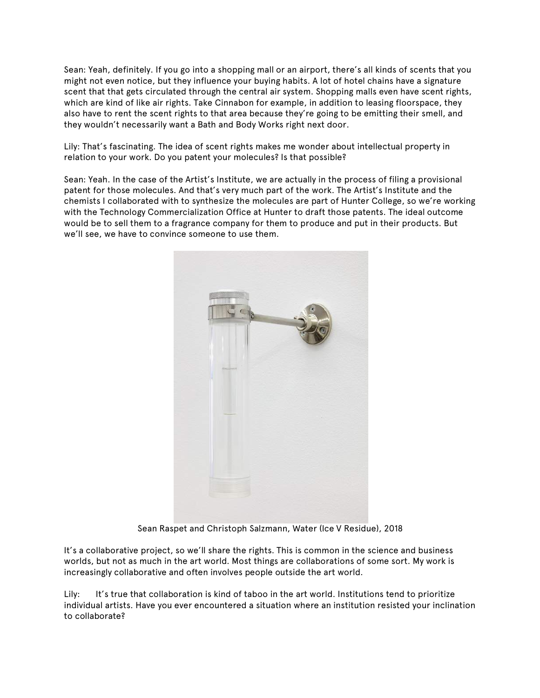Sean: Yeah, definitely. If you go into a shopping mall or an airport, there's all kinds of scents that you might not even notice, but they influence your buying habits. A lot of hotel chains have a signature scent that that gets circulated through the central air system. Shopping malls even have scent rights, which are kind of like air rights. Take Cinnabon for example, in addition to leasing floorspace, they also have to rent the scent rights to that area because they're going to be emitting their smell, and they wouldn't necessarily want a Bath and Body Works right next door.

Lily: That's fascinating. The idea of scent rights makes me wonder about intellectual property in relation to your work. Do you patent your molecules? Is that possible?

Sean: Yeah. In the case of the Artist's Institute, we are actually in the process of filing a provisional patent for those molecules. And that's very much part of the work. The Artist's Institute and the chemists I collaborated with to synthesize the molecules are part of Hunter College, so we're working with the Technology Commercialization Office at Hunter to draft those patents. The ideal outcome would be to sell them to a fragrance company for them to produce and put in their products. But we'll see, we have to convince someone to use them.



Sean Raspet and Christoph Salzmann, Water (Ice V Residue), 2018

It's a collaborative project, so we'll share the rights. This is common in the science and business worlds, but not as much in the art world. Most things are collaborations of some sort. My work is increasingly collaborative and often involves people outside the art world.

Lily: It's true that collaboration is kind of taboo in the art world. Institutions tend to prioritize individual artists. Have you ever encountered a situation where an institution resisted your inclination to collaborate?